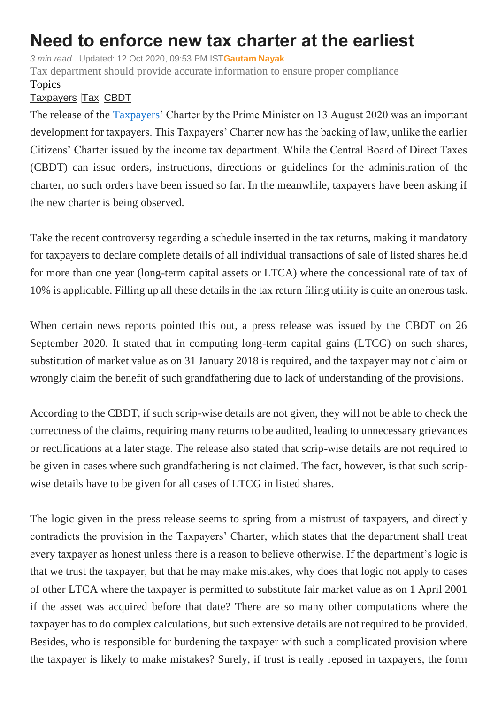## **Need to enforce new tax charter at the earliest**

*3 min read .* Updated: 12 Oct 2020, 09:53 PM IST**[Gautam Nayak](https://www.livemint.com/Search/Link/Author/Gautam-Nayak)**

Tax department should provide accurate information to ensure proper compliance Topics

## [Taxpayers](https://www.livemint.com/topic/taxpayers) |[Tax](https://www.livemint.com/topic/tax)| [CBDT](https://www.livemint.com/topic/cbdt)

The release of the [Taxpayers'](https://www.livemint.com/money/personal-finance/faceless-income-tax-assessment-starts-today-all-you-need-to-know-11601029781105.html) Charter by the Prime Minister on 13 August 2020 was an important development for taxpayers. This Taxpayers' Charter now has the backing of law, unlike the earlier Citizens' Charter issued by the income tax department. While the Central Board of Direct Taxes (CBDT) can issue orders, instructions, directions or guidelines for the administration of the charter, no such orders have been issued so far. In the meanwhile, taxpayers have been asking if the new charter is being observed.

Take the recent controversy regarding a schedule inserted in the tax returns, making it mandatory for taxpayers to declare complete details of all individual transactions of sale of listed shares held for more than one year (long-term capital assets or LTCA) where the concessional rate of tax of 10% is applicable. Filling up all these details in the tax return filing utility is quite an onerous task.

When certain news reports pointed this out, a press release was issued by the CBDT on 26 September 2020. It stated that in computing long-term capital gains (LTCG) on such shares, substitution of market value as on 31 January 2018 is required, and the taxpayer may not claim or wrongly claim the benefit of such grandfathering due to lack of understanding of the provisions.

According to the CBDT, if such scrip-wise details are not given, they will not be able to check the correctness of the claims, requiring many returns to be audited, leading to unnecessary grievances or rectifications at a later stage. The release also stated that scrip-wise details are not required to be given in cases where such grandfathering is not claimed. The fact, however, is that such scripwise details have to be given for all cases of LTCG in listed shares.

The logic given in the press release seems to spring from a mistrust of taxpayers, and directly contradicts the provision in the Taxpayers' Charter, which states that the department shall treat every taxpayer as honest unless there is a reason to believe otherwise. If the department's logic is that we trust the taxpayer, but that he may make mistakes, why does that logic not apply to cases of other LTCA where the taxpayer is permitted to substitute fair market value as on 1 April 2001 if the asset was acquired before that date? There are so many other computations where the taxpayer has to do complex calculations, but such extensive details are not required to be provided. Besides, who is responsible for burdening the taxpayer with such a complicated provision where the taxpayer is likely to make mistakes? Surely, if trust is really reposed in taxpayers, the form